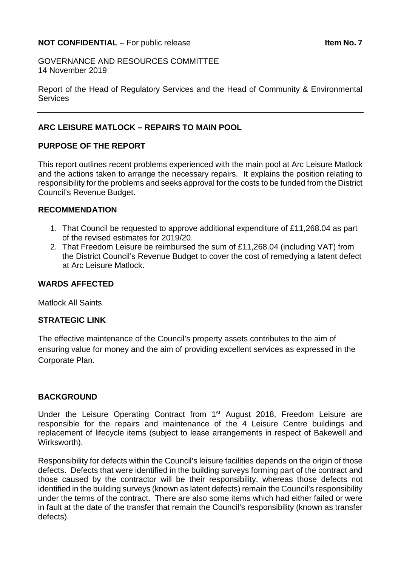### **NOT CONFIDENTIAL** – For public release **Internal CONFIDENTIAL** – For public release

GOVERNANCE AND RESOURCES COMMITTEE 14 November 2019

Report of the Head of Regulatory Services and the Head of Community & Environmental **Services** 

### **ARC LEISURE MATLOCK – REPAIRS TO MAIN POOL**

# **PURPOSE OF THE REPORT**

This report outlines recent problems experienced with the main pool at Arc Leisure Matlock and the actions taken to arrange the necessary repairs. It explains the position relating to responsibility for the problems and seeks approval for the costs to be funded from the District Council's Revenue Budget.

#### **RECOMMENDATION**

- 1. That Council be requested to approve additional expenditure of £11,268.04 as part of the revised estimates for 2019/20.
- 2. That Freedom Leisure be reimbursed the sum of £11,268.04 (including VAT) from the District Council's Revenue Budget to cover the cost of remedying a latent defect at Arc Leisure Matlock.

### **WARDS AFFECTED**

Matlock All Saints

#### **STRATEGIC LINK**

The effective maintenance of the Council's property assets contributes to the aim of ensuring value for money and the aim of providing excellent services as expressed in the Corporate Plan.

### **BACKGROUND**

Under the Leisure Operating Contract from 1<sup>st</sup> August 2018, Freedom Leisure are responsible for the repairs and maintenance of the 4 Leisure Centre buildings and replacement of lifecycle items (subject to lease arrangements in respect of Bakewell and Wirksworth).

Responsibility for defects within the Council's leisure facilities depends on the origin of those defects. Defects that were identified in the building surveys forming part of the contract and those caused by the contractor will be their responsibility, whereas those defects not identified in the building surveys (known as latent defects) remain the Council's responsibility under the terms of the contract. There are also some items which had either failed or were in fault at the date of the transfer that remain the Council's responsibility (known as transfer defects).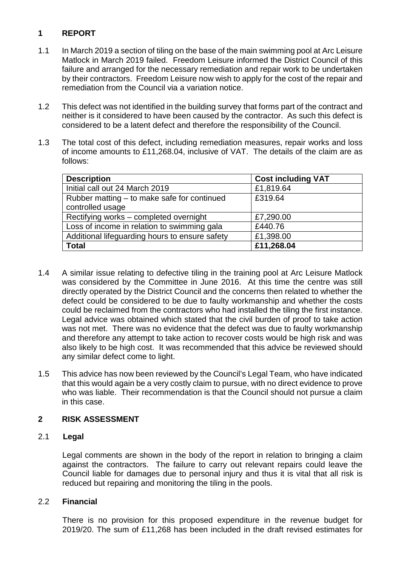# **1 REPORT**

- 1.1 In March 2019 a section of tiling on the base of the main swimming pool at Arc Leisure Matlock in March 2019 failed. Freedom Leisure informed the District Council of this failure and arranged for the necessary remediation and repair work to be undertaken by their contractors. Freedom Leisure now wish to apply for the cost of the repair and remediation from the Council via a variation notice.
- 1.2 This defect was not identified in the building survey that forms part of the contract and neither is it considered to have been caused by the contractor. As such this defect is considered to be a latent defect and therefore the responsibility of the Council.
- 1.3 The total cost of this defect, including remediation measures, repair works and loss of income amounts to £11,268.04, inclusive of VAT. The details of the claim are as follows:

| <b>Description</b>                             | <b>Cost including VAT</b> |
|------------------------------------------------|---------------------------|
| Initial call out 24 March 2019                 | £1,819.64                 |
| Rubber matting – to make safe for continued    | £319.64                   |
| controlled usage                               |                           |
| Rectifying works - completed overnight         | £7,290.00                 |
| Loss of income in relation to swimming gala    | £440.76                   |
| Additional lifeguarding hours to ensure safety | £1,398.00                 |
| <b>Total</b>                                   | £11,268.04                |

- 1.4 A similar issue relating to defective tiling in the training pool at Arc Leisure Matlock was considered by the Committee in June 2016. At this time the centre was still directly operated by the District Council and the concerns then related to whether the defect could be considered to be due to faulty workmanship and whether the costs could be reclaimed from the contractors who had installed the tiling the first instance. Legal advice was obtained which stated that the civil burden of proof to take action was not met. There was no evidence that the defect was due to faulty workmanship and therefore any attempt to take action to recover costs would be high risk and was also likely to be high cost. It was recommended that this advice be reviewed should any similar defect come to light.
- 1.5 This advice has now been reviewed by the Council's Legal Team, who have indicated that this would again be a very costly claim to pursue, with no direct evidence to prove who was liable. Their recommendation is that the Council should not pursue a claim in this case.

# **2 RISK ASSESSMENT**

# 2.1 **Legal**

Legal comments are shown in the body of the report in relation to bringing a claim against the contractors. The failure to carry out relevant repairs could leave the Council liable for damages due to personal injury and thus it is vital that all risk is reduced but repairing and monitoring the tiling in the pools.

# 2.2 **Financial**

 There is no provision for this proposed expenditure in the revenue budget for 2019/20. The sum of £11,268 has been included in the draft revised estimates for